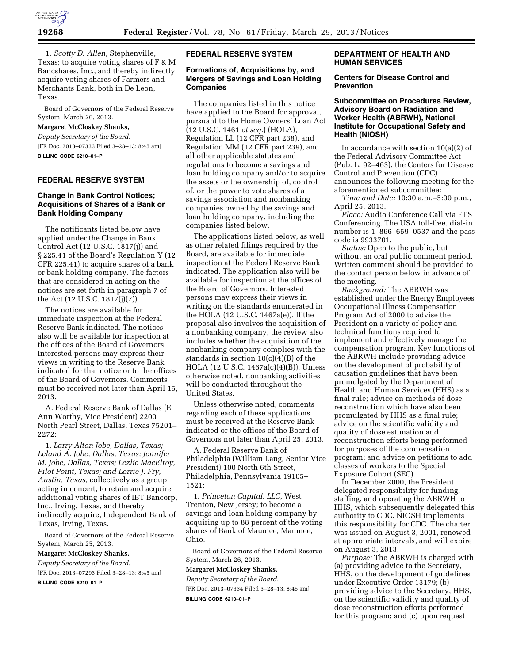

1. *Scotty D. Allen,* Stephenville, Texas; to acquire voting shares of F & M Bancshares, Inc., and thereby indirectly acquire voting shares of Farmers and Merchants Bank, both in De Leon, Texas.

Board of Governors of the Federal Reserve System, March 26, 2013.

#### **Margaret McCloskey Shanks,**

*Deputy Secretary of the Board.*  [FR Doc. 2013–07333 Filed 3–28–13; 8:45 am]

**BILLING CODE 6210–01–P** 

# **FEDERAL RESERVE SYSTEM**

## **Change in Bank Control Notices; Acquisitions of Shares of a Bank or Bank Holding Company**

The notificants listed below have applied under the Change in Bank Control Act (12 U.S.C. 1817(j)) and § 225.41 of the Board's Regulation Y (12 CFR 225.41) to acquire shares of a bank or bank holding company. The factors that are considered in acting on the notices are set forth in paragraph 7 of the Act  $(12 \text{ U.S.C. } 1817(i)(7))$ .

The notices are available for immediate inspection at the Federal Reserve Bank indicated. The notices also will be available for inspection at the offices of the Board of Governors. Interested persons may express their views in writing to the Reserve Bank indicated for that notice or to the offices of the Board of Governors. Comments must be received not later than April 15, 2013.

A. Federal Reserve Bank of Dallas (E. Ann Worthy, Vice President) 2200 North Pearl Street, Dallas, Texas 75201– 2272:

1. *Larry Alton Jobe, Dallas, Texas; Leland A. Jobe, Dallas, Texas; Jennifer M. Jobe, Dallas, Texas; Lezlie MacElroy, Pilot Point, Texas; and Lorrie J. Fry, Austin, Texas,* collectively as a group acting in concert, to retain and acquire additional voting shares of IBT Bancorp, Inc., Irving, Texas, and thereby indirectly acquire, Independent Bank of Texas, Irving, Texas.

Board of Governors of the Federal Reserve System, March 25, 2013.

#### **Margaret McCloskey Shanks,**

*Deputy Secretary of the Board.*  [FR Doc. 2013–07293 Filed 3–28–13; 8:45 am] **BILLING CODE 6210–01–P** 

#### **FEDERAL RESERVE SYSTEM**

## **Formations of, Acquisitions by, and Mergers of Savings and Loan Holding Companies**

The companies listed in this notice have applied to the Board for approval, pursuant to the Home Owners' Loan Act (12 U.S.C. 1461 *et seq.*) (HOLA), Regulation LL (12 CFR part 238), and Regulation MM (12 CFR part 239), and all other applicable statutes and regulations to become a savings and loan holding company and/or to acquire the assets or the ownership of, control of, or the power to vote shares of a savings association and nonbanking companies owned by the savings and loan holding company, including the companies listed below.

The applications listed below, as well as other related filings required by the Board, are available for immediate inspection at the Federal Reserve Bank indicated. The application also will be available for inspection at the offices of the Board of Governors. Interested persons may express their views in writing on the standards enumerated in the HOLA (12 U.S.C. 1467a(e)). If the proposal also involves the acquisition of a nonbanking company, the review also includes whether the acquisition of the nonbanking company complies with the standards in section  $10(c)(4)(B)$  of the HOLA (12 U.S.C. 1467a(c)(4)(B)). Unless otherwise noted, nonbanking activities will be conducted throughout the United States.

Unless otherwise noted, comments regarding each of these applications must be received at the Reserve Bank indicated or the offices of the Board of Governors not later than April 25, 2013.

A. Federal Reserve Bank of Philadelphia (William Lang, Senior Vice President) 100 North 6th Street, Philadelphia, Pennsylvania 19105– 1521:

1. *Princeton Capital, LLC,* West Trenton, New Jersey; to become a savings and loan holding company by acquiring up to 88 percent of the voting shares of Bank of Maumee, Maumee, Ohio.

Board of Governors of the Federal Reserve System, March 26, 2013.

## **Margaret McCloskey Shanks,**

*Deputy Secretary of the Board.*  [FR Doc. 2013–07334 Filed 3–28–13; 8:45 am] **BILLING CODE 6210–01–P** 

# **DEPARTMENT OF HEALTH AND HUMAN SERVICES**

#### **Centers for Disease Control and Prevention**

## **Subcommittee on Procedures Review, Advisory Board on Radiation and Worker Health (ABRWH), National Institute for Occupational Safety and Health (NIOSH)**

In accordance with section  $10(a)(2)$  of the Federal Advisory Committee Act (Pub. L. 92–463), the Centers for Disease Control and Prevention (CDC) announces the following meeting for the aforementioned subcommittee:

*Time and Date:* 10:30 a.m.–5:00 p.m., April 25, 2013.

*Place:* Audio Conference Call via FTS Conferencing. The USA toll-free, dial-in number is 1–866–659–0537 and the pass code is 9933701.

*Status:* Open to the public, but without an oral public comment period. Written comment should be provided to the contact person below in advance of the meeting.

*Background:* The ABRWH was established under the Energy Employees Occupational Illness Compensation Program Act of 2000 to advise the President on a variety of policy and technical functions required to implement and effectively manage the compensation program. Key functions of the ABRWH include providing advice on the development of probability of causation guidelines that have been promulgated by the Department of Health and Human Services (HHS) as a final rule; advice on methods of dose reconstruction which have also been promulgated by HHS as a final rule; advice on the scientific validity and quality of dose estimation and reconstruction efforts being performed for purposes of the compensation program; and advice on petitions to add classes of workers to the Special Exposure Cohort (SEC).

In December 2000, the President delegated responsibility for funding, staffing, and operating the ABRWH to HHS, which subsequently delegated this authority to CDC. NIOSH implements this responsibility for CDC. The charter was issued on August 3, 2001, renewed at appropriate intervals, and will expire on August 3, 2013.

*Purpose:* The ABRWH is charged with (a) providing advice to the Secretary, HHS, on the development of guidelines under Executive Order 13179; (b) providing advice to the Secretary, HHS, on the scientific validity and quality of dose reconstruction efforts performed for this program; and (c) upon request